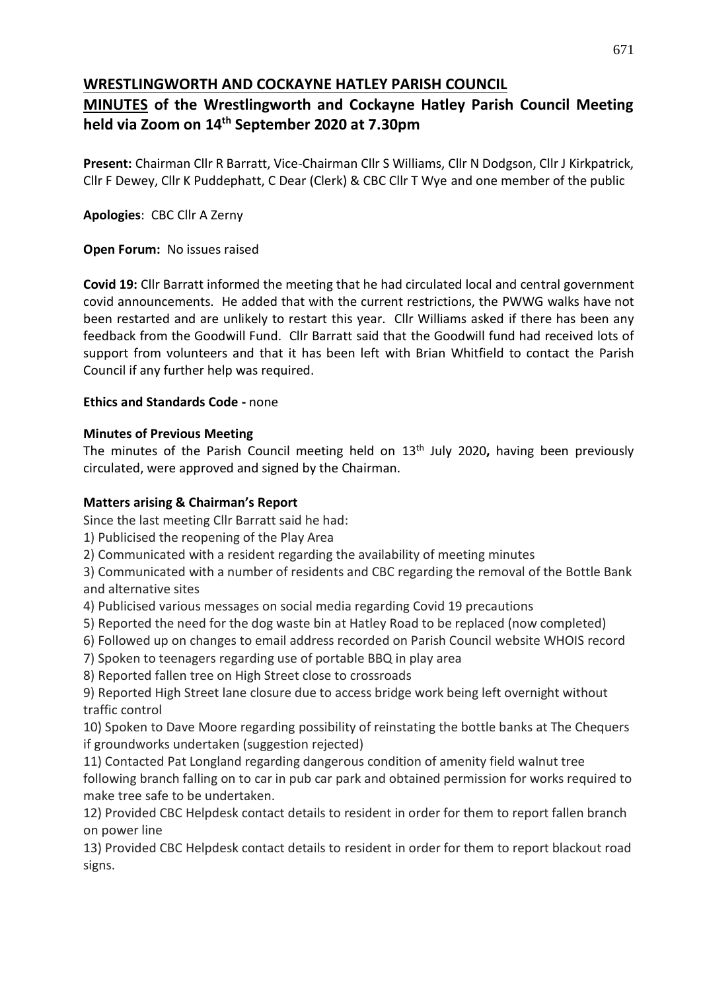# **WRESTLINGWORTH AND COCKAYNE HATLEY PARISH COUNCIL**

# **MINUTES of the Wrestlingworth and Cockayne Hatley Parish Council Meeting held via Zoom on 14th September 2020 at 7.30pm**

**Present:** Chairman Cllr R Barratt, Vice-Chairman Cllr S Williams, Cllr N Dodgson, Cllr J Kirkpatrick, Cllr F Dewey, Cllr K Puddephatt, C Dear (Clerk) & CBC Cllr T Wye and one member of the public

**Apologies**: CBC Cllr A Zerny

# **Open Forum:** No issues raised

**Covid 19:** Cllr Barratt informed the meeting that he had circulated local and central government covid announcements. He added that with the current restrictions, the PWWG walks have not been restarted and are unlikely to restart this year. Cllr Williams asked if there has been any feedback from the Goodwill Fund. Cllr Barratt said that the Goodwill fund had received lots of support from volunteers and that it has been left with Brian Whitfield to contact the Parish Council if any further help was required.

# **Ethics and Standards Code -** none

# **Minutes of Previous Meeting**

The minutes of the Parish Council meeting held on 13th July 2020**,** having been previously circulated, were approved and signed by the Chairman.

# **Matters arising & Chairman's Report**

Since the last meeting Cllr Barratt said he had:

1) Publicised the reopening of the Play Area

2) Communicated with a resident regarding the availability of meeting minutes

3) Communicated with a number of residents and CBC regarding the removal of the Bottle Bank and alternative sites

4) Publicised various messages on social media regarding Covid 19 precautions

- 5) Reported the need for the dog waste bin at Hatley Road to be replaced (now completed)
- 6) Followed up on changes to email address recorded on Parish Council website WHOIS record
- 7) Spoken to teenagers regarding use of portable BBQ in play area

8) Reported fallen tree on High Street close to crossroads

9) Reported High Street lane closure due to access bridge work being left overnight without traffic control

10) Spoken to Dave Moore regarding possibility of reinstating the bottle banks at The Chequers if groundworks undertaken (suggestion rejected)

11) Contacted Pat Longland regarding dangerous condition of amenity field walnut tree following branch falling on to car in pub car park and obtained permission for works required to make tree safe to be undertaken.

12) Provided CBC Helpdesk contact details to resident in order for them to report fallen branch on power line

13) Provided CBC Helpdesk contact details to resident in order for them to report blackout road signs.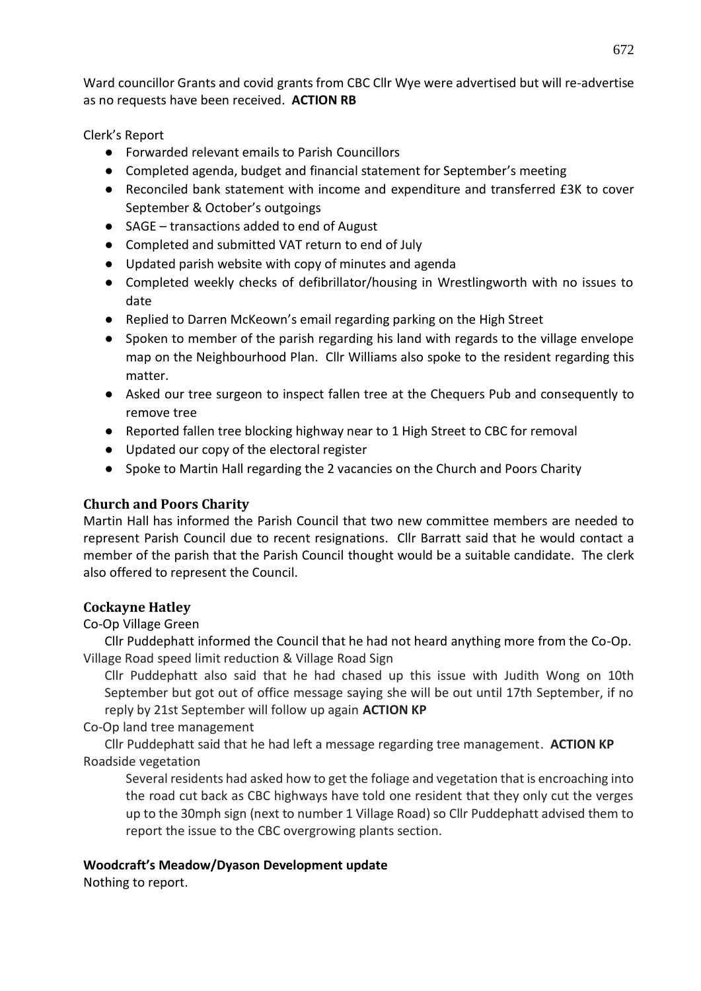Ward councillor Grants and covid grants from CBC Cllr Wye were advertised but will re-advertise as no requests have been received. **ACTION RB**

Clerk's Report

- Forwarded relevant emails to Parish Councillors
- Completed agenda, budget and financial statement for September's meeting
- Reconciled bank statement with income and expenditure and transferred £3K to cover September & October's outgoings
- SAGE transactions added to end of August
- Completed and submitted VAT return to end of July
- Updated parish website with copy of minutes and agenda
- Completed weekly checks of defibrillator/housing in Wrestlingworth with no issues to date
- Replied to Darren McKeown's email regarding parking on the High Street
- Spoken to member of the parish regarding his land with regards to the village envelope map on the Neighbourhood Plan. Cllr Williams also spoke to the resident regarding this matter.
- Asked our tree surgeon to inspect fallen tree at the Chequers Pub and consequently to remove tree
- Reported fallen tree blocking highway near to 1 High Street to CBC for removal
- Updated our copy of the electoral register
- Spoke to Martin Hall regarding the 2 vacancies on the Church and Poors Charity

# **Church and Poors Charity**

Martin Hall has informed the Parish Council that two new committee members are needed to represent Parish Council due to recent resignations. Cllr Barratt said that he would contact a member of the parish that the Parish Council thought would be a suitable candidate. The clerk also offered to represent the Council.

# **Cockayne Hatley**

Co-Op Village Green

Cllr Puddephatt informed the Council that he had not heard anything more from the Co-Op. Village Road speed limit reduction & Village Road Sign

Cllr Puddephatt also said that he had chased up this issue with Judith Wong on 10th September but got out of office message saying she will be out until 17th September, if no reply by 21st September will follow up again **ACTION KP**

Co-Op land tree management

Cllr Puddephatt said that he had left a message regarding tree management. **ACTION KP** Roadside vegetation

Several residents had asked how to get the foliage and vegetation that is encroaching into the road cut back as CBC highways have told one resident that they only cut the verges up to the 30mph sign (next to number 1 Village Road) so Cllr Puddephatt advised them to report the issue to the CBC overgrowing plants section.

# **Woodcraft's Meadow/Dyason Development update**

Nothing to report.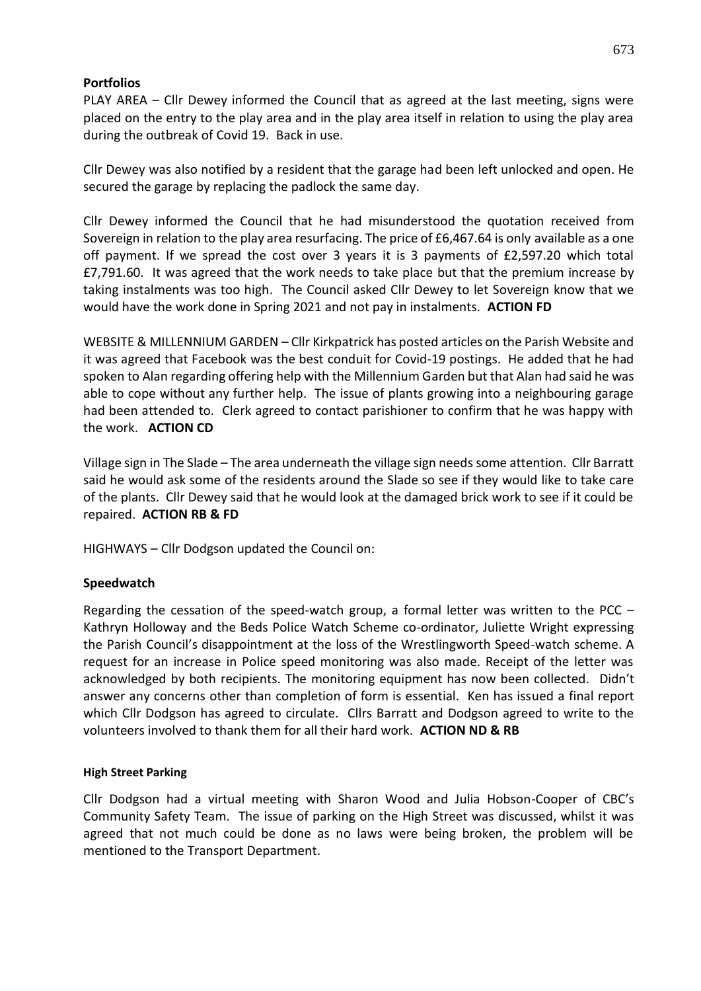#### **Portfolios**

PLAY AREA – Cllr Dewey informed the Council that as agreed at the last meeting, signs were placed on the entry to the play area and in the play area itself in relation to using the play area during the outbreak of Covid 19. Back in use.

Cllr Dewey was also notified by a resident that the garage had been left unlocked and open. He secured the garage by replacing the padlock the same day.

Cllr Dewey informed the Council that he had misunderstood the quotation received from Sovereign in relation to the play area resurfacing. The price of £6,467.64 is only available as a one off payment. If we spread the cost over 3 years it is 3 payments of £2,597.20 which total £7,791.60. It was agreed that the work needs to take place but that the premium increase by taking instalments was too high. The Council asked Cllr Dewey to let Sovereign know that we would have the work done in Spring 2021 and not pay in instalments. **ACTION FD**

WEBSITE & MILLENNIUM GARDEN – Cllr Kirkpatrick has posted articles on the Parish Website and it was agreed that Facebook was the best conduit for Covid-19 postings. He added that he had spoken to Alan regarding offering help with the Millennium Garden but that Alan had said he was able to cope without any further help. The issue of plants growing into a neighbouring garage had been attended to. Clerk agreed to contact parishioner to confirm that he was happy with the work. **ACTION CD**

Village sign in The Slade – The area underneath the village sign needs some attention. Cllr Barratt said he would ask some of the residents around the Slade so see if they would like to take care of the plants. Cllr Dewey said that he would look at the damaged brick work to see if it could be repaired. **ACTION RB & FD**

HIGHWAYS – Cllr Dodgson updated the Council on:

#### **Speedwatch**

Regarding the cessation of the speed-watch group, a formal letter was written to the PCC – Kathryn Holloway and the Beds Police Watch Scheme co-ordinator, Juliette Wright expressing the Parish Council's disappointment at the loss of the Wrestlingworth Speed-watch scheme. A request for an increase in Police speed monitoring was also made. Receipt of the letter was acknowledged by both recipients. The monitoring equipment has now been collected. Didn't answer any concerns other than completion of form is essential. Ken has issued a final report which Cllr Dodgson has agreed to circulate. Cllrs Barratt and Dodgson agreed to write to the volunteers involved to thank them for all their hard work. **ACTION ND & RB**

#### **High Street Parking**

Cllr Dodgson had a virtual meeting with Sharon Wood and Julia Hobson-Cooper of CBC's Community Safety Team. The issue of parking on the High Street was discussed, whilst it was agreed that not much could be done as no laws were being broken, the problem will be mentioned to the Transport Department.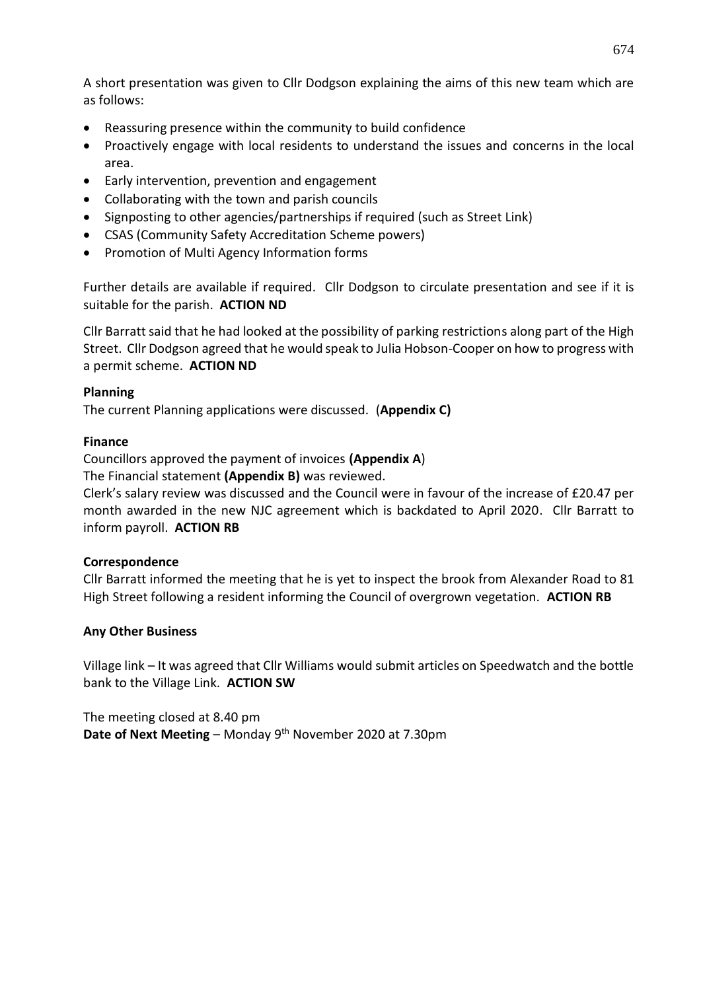A short presentation was given to Cllr Dodgson explaining the aims of this new team which are as follows:

- Reassuring presence within the community to build confidence
- Proactively engage with local residents to understand the issues and concerns in the local area.
- Early intervention, prevention and engagement
- Collaborating with the town and parish councils
- Signposting to other agencies/partnerships if required (such as Street Link)
- CSAS (Community Safety Accreditation Scheme powers)
- Promotion of Multi Agency Information forms

Further details are available if required. Cllr Dodgson to circulate presentation and see if it is suitable for the parish. **ACTION ND**

Cllr Barratt said that he had looked at the possibility of parking restrictions along part of the High Street. Cllr Dodgson agreed that he would speak to Julia Hobson-Cooper on how to progress with a permit scheme. **ACTION ND**

#### **Planning**

The current Planning applications were discussed. (**Appendix C)**

#### **Finance**

Councillors approved the payment of invoices **(Appendix A**)

The Financial statement **(Appendix B)** was reviewed.

Clerk's salary review was discussed and the Council were in favour of the increase of £20.47 per month awarded in the new NJC agreement which is backdated to April 2020. Cllr Barratt to inform payroll. **ACTION RB**

#### **Correspondence**

Cllr Barratt informed the meeting that he is yet to inspect the brook from Alexander Road to 81 High Street following a resident informing the Council of overgrown vegetation. **ACTION RB**

# **Any Other Business**

Village link – It was agreed that Cllr Williams would submit articles on Speedwatch and the bottle bank to the Village Link. **ACTION SW**

The meeting closed at 8.40 pm Date of Next Meeting - Monday 9<sup>th</sup> November 2020 at 7.30pm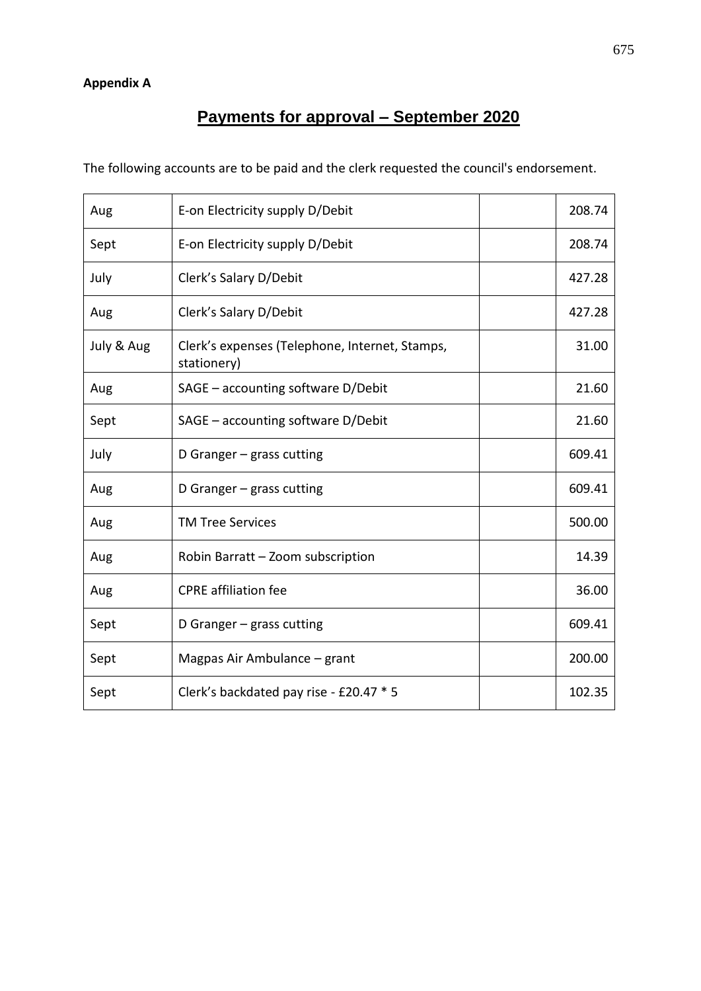# **Payments for approval – September 2020**

The following accounts are to be paid and the clerk requested the council's endorsement.

| Aug        | E-on Electricity supply D/Debit                               | 208.74 |
|------------|---------------------------------------------------------------|--------|
| Sept       | E-on Electricity supply D/Debit                               | 208.74 |
| July       | Clerk's Salary D/Debit                                        | 427.28 |
| Aug        | Clerk's Salary D/Debit                                        | 427.28 |
| July & Aug | Clerk's expenses (Telephone, Internet, Stamps,<br>stationery) | 31.00  |
| Aug        | SAGE - accounting software D/Debit                            | 21.60  |
| Sept       | SAGE - accounting software D/Debit                            | 21.60  |
| July       | D Granger $-$ grass cutting                                   | 609.41 |
| Aug        | D Granger $-$ grass cutting                                   | 609.41 |
| Aug        | <b>TM Tree Services</b>                                       | 500.00 |
| Aug        | Robin Barratt - Zoom subscription                             | 14.39  |
| Aug        | <b>CPRE</b> affiliation fee                                   | 36.00  |
| Sept       | D Granger $-$ grass cutting                                   | 609.41 |
| Sept       | Magpas Air Ambulance – grant                                  | 200.00 |
| Sept       | Clerk's backdated pay rise - £20.47 * 5                       | 102.35 |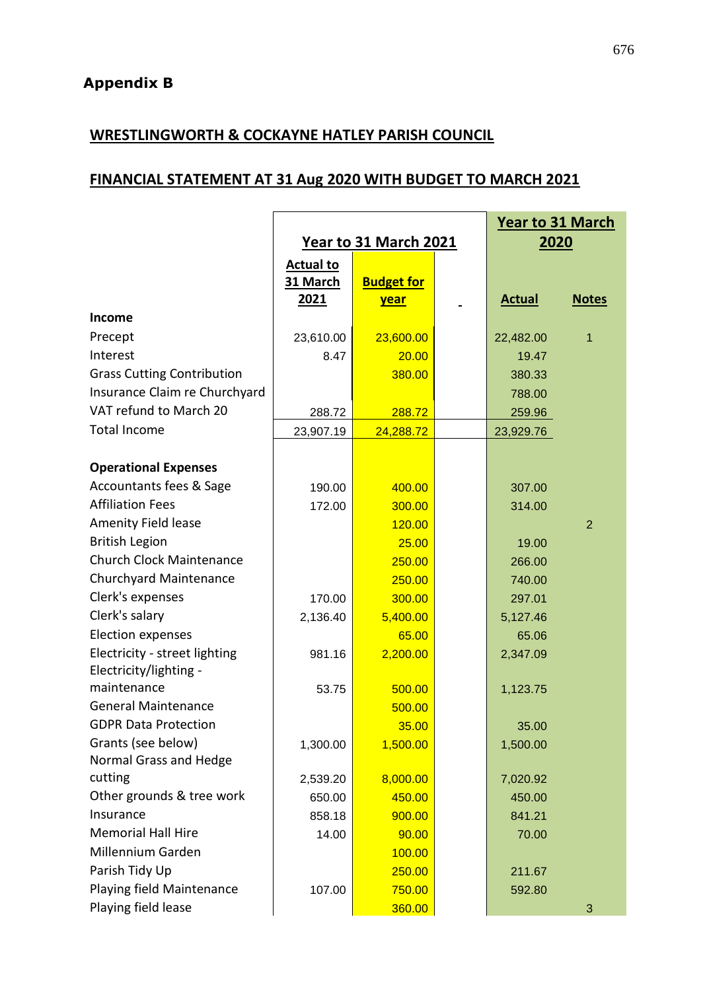# **WRESTLINGWORTH & COCKAYNE HATLEY PARISH COUNCIL**

# **FINANCIAL STATEMENT AT 31 Aug 2020 WITH BUDGET TO MARCH 2021**

|                                   | <b>Year to 31 March 2021</b> |                   |  | <b>Year to 31 March</b><br>2020 |                |
|-----------------------------------|------------------------------|-------------------|--|---------------------------------|----------------|
|                                   | <b>Actual to</b>             |                   |  |                                 |                |
|                                   | 31 March                     | <b>Budget for</b> |  |                                 |                |
|                                   | 2021                         | <u>year</u>       |  | <b>Actual</b>                   | <b>Notes</b>   |
| <b>Income</b>                     |                              |                   |  |                                 |                |
| Precept                           | 23,610.00                    | 23,600.00         |  | 22,482.00                       | 1              |
| Interest                          | 8.47                         | 20.00             |  | 19.47                           |                |
| <b>Grass Cutting Contribution</b> |                              | 380.00            |  | 380.33                          |                |
| Insurance Claim re Churchyard     |                              |                   |  | 788.00                          |                |
| VAT refund to March 20            | 288.72                       | 288.72            |  | 259.96                          |                |
| <b>Total Income</b>               | 23,907.19                    | 24,288.72         |  | 23,929.76                       |                |
| <b>Operational Expenses</b>       |                              |                   |  |                                 |                |
| Accountants fees & Sage           | 190.00                       | 400.00            |  | 307.00                          |                |
| <b>Affiliation Fees</b>           | 172.00                       | 300.00            |  | 314.00                          |                |
| <b>Amenity Field lease</b>        |                              | 120.00            |  |                                 | $\overline{2}$ |
| <b>British Legion</b>             |                              | 25.00             |  | 19.00                           |                |
| <b>Church Clock Maintenance</b>   |                              | 250.00            |  | 266.00                          |                |
| <b>Churchyard Maintenance</b>     |                              | 250.00            |  | 740.00                          |                |
| Clerk's expenses                  | 170.00                       | 300.00            |  | 297.01                          |                |
| Clerk's salary                    | 2,136.40                     | 5,400.00          |  | 5,127.46                        |                |
| <b>Election expenses</b>          |                              | 65.00             |  | 65.06                           |                |
| Electricity - street lighting     | 981.16                       | 2,200.00          |  | 2,347.09                        |                |
| Electricity/lighting -            |                              |                   |  |                                 |                |
| maintenance                       | 53.75                        | 500.00            |  | 1,123.75                        |                |
| <b>General Maintenance</b>        |                              | 500.00            |  |                                 |                |
| <b>GDPR Data Protection</b>       |                              | 35.00             |  | 35.00                           |                |
| Grants (see below)                | 1,300.00                     | 1,500.00          |  | 1,500.00                        |                |
| Normal Grass and Hedge            |                              |                   |  |                                 |                |
| cutting                           | 2,539.20                     | 8,000.00          |  | 7,020.92                        |                |
| Other grounds & tree work         | 650.00                       | 450.00            |  | 450.00                          |                |
| Insurance                         | 858.18                       | 900.00            |  | 841.21                          |                |
| <b>Memorial Hall Hire</b>         | 14.00                        | 90.00             |  | 70.00                           |                |
| Millennium Garden                 |                              | 100.00            |  |                                 |                |
| Parish Tidy Up                    |                              | 250.00            |  | 211.67                          |                |
| Playing field Maintenance         | 107.00                       | 750.00            |  | 592.80                          |                |
| Playing field lease               |                              | 360.00            |  |                                 | 3              |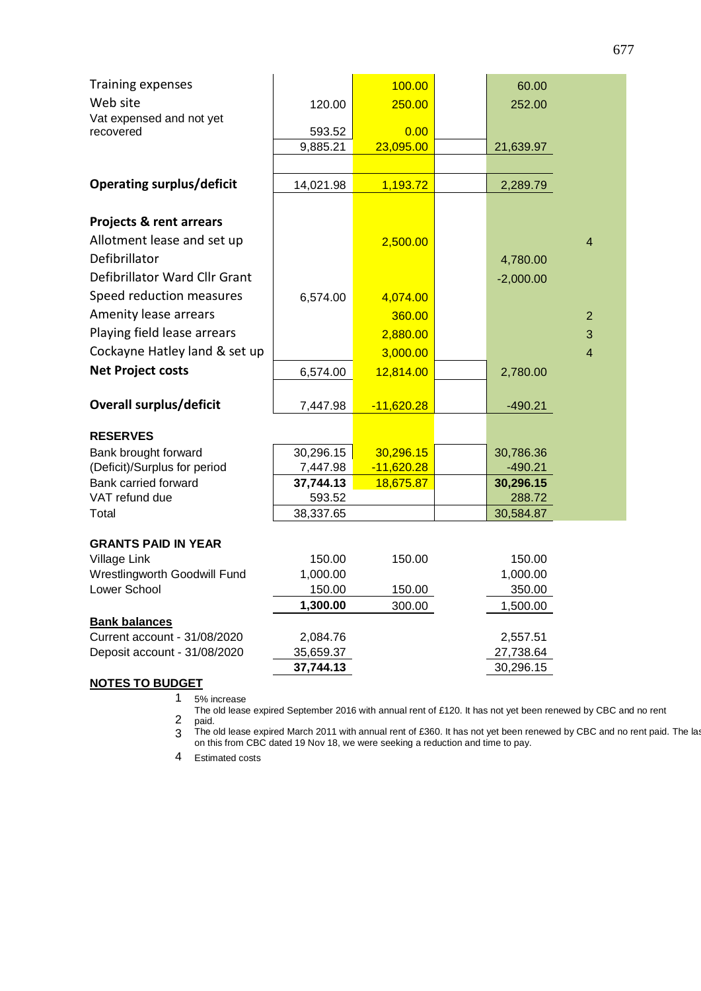| <b>Training expenses</b>         |                        | 100.00            | 60.00                  |                |
|----------------------------------|------------------------|-------------------|------------------------|----------------|
| Web site                         | 120.00                 | 250.00            | 252.00                 |                |
| Vat expensed and not yet         |                        |                   |                        |                |
| recovered                        | 593.52                 | 0.00<br>23,095.00 |                        |                |
|                                  | 9,885.21               |                   | 21,639.97              |                |
| <b>Operating surplus/deficit</b> |                        |                   |                        |                |
|                                  | 14,021.98              | 1,193.72          | 2,289.79               |                |
| Projects & rent arrears          |                        |                   |                        |                |
| Allotment lease and set up       |                        | 2,500.00          |                        | $\overline{4}$ |
| Defibrillator                    |                        |                   | 4,780.00               |                |
| Defibrillator Ward Cllr Grant    |                        |                   | $-2,000.00$            |                |
| Speed reduction measures         | 6,574.00               | 4,074.00          |                        |                |
| Amenity lease arrears            |                        | 360.00            |                        | $\overline{2}$ |
| Playing field lease arrears      |                        | 2,880.00          |                        | 3              |
| Cockayne Hatley land & set up    |                        | 3,000.00          |                        | $\overline{4}$ |
| <b>Net Project costs</b>         | 6,574.00               | 12,814.00         | 2,780.00               |                |
|                                  |                        |                   |                        |                |
| Overall surplus/deficit          | 7,447.98               | $-11,620.28$      | $-490.21$              |                |
| <b>RESERVES</b>                  |                        |                   |                        |                |
| Bank brought forward             | 30,296.15              | 30,296.15         | 30,786.36              |                |
| (Deficit)/Surplus for period     | 7,447.98               | $-11,620.28$      | $-490.21$              |                |
| Bank carried forward             | 37,744.13              | 18,675.87         | 30,296.15              |                |
| VAT refund due                   | 593.52                 |                   | 288.72                 |                |
| Total                            | 38,337.65              |                   | 30,584.87              |                |
| <b>GRANTS PAID IN YEAR</b>       |                        |                   |                        |                |
| Village Link                     | 150.00                 | 150.00            | 150.00                 |                |
| Wrestlingworth Goodwill Fund     | 1,000.00               |                   | 1,000.00               |                |
| Lower School                     | 150.00                 | 150.00            | 350.00                 |                |
|                                  | 1,300.00               | 300.00            | 1,500.00               |                |
| <b>Bank balances</b>             |                        |                   |                        |                |
| Current account - 31/08/2020     | 2,084.76               |                   | 2,557.51               |                |
| Deposit account - 31/08/2020     | 35,659.37<br>37,744.13 |                   | 27,738.64<br>30,296.15 |                |
|                                  |                        |                   |                        |                |

## **NOTES TO BUDGET**

1 5% increase

2 The old lease expired September 2016 with annual rent of £120. It has not yet been renewed by CBC and no rent

paid.

3 The old lease expired March 2011 with annual rent of £360. It has not yet been renewed by CBC and no rent paid. The last on this from CBC dated 19 Nov 18, we were seeking a reduction and time to pay.

4 Estimated costs